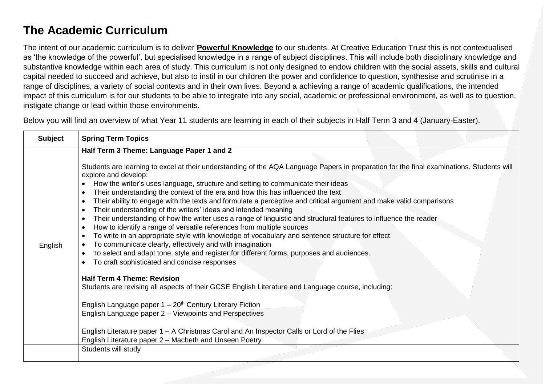## **The Academic Curriculum**

The intent of our academic curriculum is to deliver **Powerful Knowledge** to our students. At Creative Education Trust this is not contextualised as 'the knowledge of the powerful', but specialised knowledge in a range of subject disciplines. This will include both disciplinary knowledge and substantive knowledge within each area of study. This curriculum is not only designed to endow children with the social assets, skills and cultural capital needed to succeed and achieve, but also to instil in our children the power and confidence to question, synthesise and scrutinise in a range of disciplines, a variety of social contexts and in their own lives. Beyond a achieving a range of academic qualifications, the intended impact of this curriculum is for our students to be able to integrate into any social, academic or professional environment, as well as to question, instigate change or lead within those environments.

Below you will find an overview of what Year 11 students are learning in each of their subjects in Half Term 3 and 4 (January-Easter).

| <b>Subject</b> | <b>Spring Term Topics</b>                                                                                                                                                                                                                                                                                                                                                                                                                                                                                                                                                                                                                                                                                                                                                                                                                                                                                                                                                                                                                                                                                                                                                                                                                                                                                                                                                                                                                                                                                                                              |
|----------------|--------------------------------------------------------------------------------------------------------------------------------------------------------------------------------------------------------------------------------------------------------------------------------------------------------------------------------------------------------------------------------------------------------------------------------------------------------------------------------------------------------------------------------------------------------------------------------------------------------------------------------------------------------------------------------------------------------------------------------------------------------------------------------------------------------------------------------------------------------------------------------------------------------------------------------------------------------------------------------------------------------------------------------------------------------------------------------------------------------------------------------------------------------------------------------------------------------------------------------------------------------------------------------------------------------------------------------------------------------------------------------------------------------------------------------------------------------------------------------------------------------------------------------------------------------|
| English        | Half Term 3 Theme: Language Paper 1 and 2<br>Students are learning to excel at their understanding of the AQA Language Papers in preparation for the final examinations. Students will<br>explore and develop:<br>How the writer's uses language, structure and setting to communicate their ideas<br>Their understanding the context of the era and how this has influenced the text<br>Their ability to engage with the texts and formulate a perceptive and critical argument and make valid comparisons<br>Their understanding of the writers' ideas and intended meaning<br>$\bullet$<br>Their understanding of how the writer uses a range of linguistic and structural features to influence the reader<br>How to identify a range of versatile references from multiple sources<br>To write in an appropriate style with knowledge of vocabulary and sentence structure for effect<br>To communicate clearly, effectively and with imagination<br>To select and adapt tone, style and register for different forms, purposes and audiences.<br>To craft sophisticated and concise responses<br><b>Half Term 4 Theme: Revision</b><br>Students are revising all aspects of their GCSE English Literature and Language course, including:<br>English Language paper $1 - 20th$ Century Literary Fiction<br>English Language paper 2 – Viewpoints and Perspectives<br>English Literature paper 1 – A Christmas Carol and An Inspector Calls or Lord of the Flies<br>English Literature paper 2 - Macbeth and Unseen Poetry<br>Students will study |
|                |                                                                                                                                                                                                                                                                                                                                                                                                                                                                                                                                                                                                                                                                                                                                                                                                                                                                                                                                                                                                                                                                                                                                                                                                                                                                                                                                                                                                                                                                                                                                                        |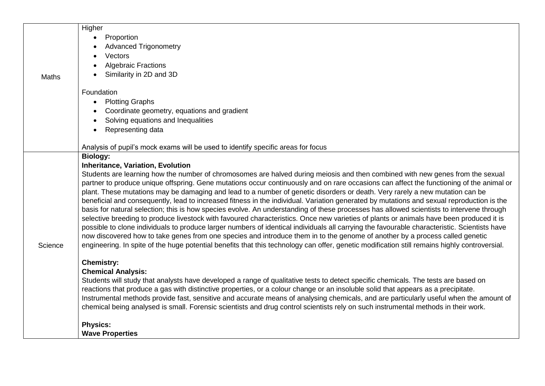|         | Higher                                                                                                                                                                                                                                                                       |
|---------|------------------------------------------------------------------------------------------------------------------------------------------------------------------------------------------------------------------------------------------------------------------------------|
|         | Proportion                                                                                                                                                                                                                                                                   |
|         | <b>Advanced Trigonometry</b>                                                                                                                                                                                                                                                 |
|         | Vectors                                                                                                                                                                                                                                                                      |
|         | <b>Algebraic Fractions</b>                                                                                                                                                                                                                                                   |
| Maths   | Similarity in 2D and 3D                                                                                                                                                                                                                                                      |
|         |                                                                                                                                                                                                                                                                              |
|         | Foundation                                                                                                                                                                                                                                                                   |
|         | <b>Plotting Graphs</b>                                                                                                                                                                                                                                                       |
|         | Coordinate geometry, equations and gradient                                                                                                                                                                                                                                  |
|         | Solving equations and Inequalities                                                                                                                                                                                                                                           |
|         | Representing data                                                                                                                                                                                                                                                            |
|         |                                                                                                                                                                                                                                                                              |
|         | Analysis of pupil's mock exams will be used to identify specific areas for focus                                                                                                                                                                                             |
|         | <b>Biology:</b>                                                                                                                                                                                                                                                              |
|         | <b>Inheritance, Variation, Evolution</b><br>Students are learning how the number of chromosomes are halved during meiosis and then combined with new genes from the sexual                                                                                                   |
|         | partner to produce unique offspring. Gene mutations occur continuously and on rare occasions can affect the functioning of the animal or                                                                                                                                     |
|         | plant. These mutations may be damaging and lead to a number of genetic disorders or death. Very rarely a new mutation can be                                                                                                                                                 |
|         | beneficial and consequently, lead to increased fitness in the individual. Variation generated by mutations and sexual reproduction is the                                                                                                                                    |
|         | basis for natural selection; this is how species evolve. An understanding of these processes has allowed scientists to intervene through                                                                                                                                     |
|         | selective breeding to produce livestock with favoured characteristics. Once new varieties of plants or animals have been produced it is                                                                                                                                      |
|         | possible to clone individuals to produce larger numbers of identical individuals all carrying the favourable characteristic. Scientists have                                                                                                                                 |
|         | now discovered how to take genes from one species and introduce them in to the genome of another by a process called genetic                                                                                                                                                 |
| Science | engineering. In spite of the huge potential benefits that this technology can offer, genetic modification still remains highly controversial.                                                                                                                                |
|         |                                                                                                                                                                                                                                                                              |
|         | <b>Chemistry:</b>                                                                                                                                                                                                                                                            |
|         | <b>Chemical Analysis:</b>                                                                                                                                                                                                                                                    |
|         | Students will study that analysts have developed a range of qualitative tests to detect specific chemicals. The tests are based on                                                                                                                                           |
|         | reactions that produce a gas with distinctive properties, or a colour change or an insoluble solid that appears as a precipitate.                                                                                                                                            |
|         | Instrumental methods provide fast, sensitive and accurate means of analysing chemicals, and are particularly useful when the amount of<br>chemical being analysed is small. Forensic scientists and drug control scientists rely on such instrumental methods in their work. |
|         |                                                                                                                                                                                                                                                                              |
|         | <b>Physics:</b>                                                                                                                                                                                                                                                              |
|         | <b>Wave Properties</b>                                                                                                                                                                                                                                                       |
|         |                                                                                                                                                                                                                                                                              |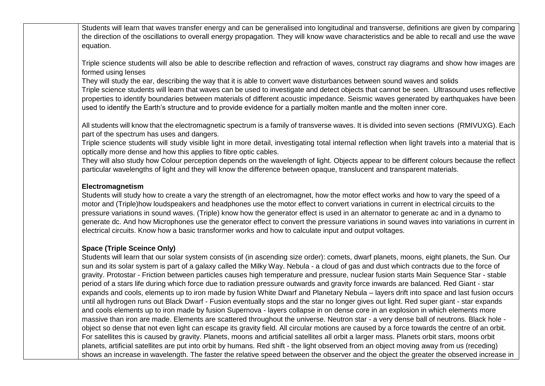Students will learn that waves transfer energy and can be generalised into longitudinal and transverse, definitions are given by comparing the direction of the oscillations to overall energy propagation. They will know wave characteristics and be able to recall and use the wave equation.

Triple science students will also be able to describe reflection and refraction of waves, construct ray diagrams and show how images are formed using lenses

They will study the ear, describing the way that it is able to convert wave disturbances between sound waves and solids

Triple science students will learn that waves can be used to investigate and detect objects that cannot be seen. Ultrasound uses reflective properties to identify boundaries between materials of different acoustic impedance. Seismic waves generated by earthquakes have been used to identify the Earth's structure and to provide evidence for a partially molten mantle and the molten inner core.

All students will know that the electromagnetic spectrum is a family of transverse waves. It is divided into seven sections (RMIVUXG). Each part of the spectrum has uses and dangers.

Triple science students will study visible light in more detail, investigating total internal reflection when light travels into a material that is optically more dense and how this applies to fibre optic cables.

They will also study how Colour perception depends on the wavelength of light. Objects appear to be different colours because the reflect particular wavelengths of light and they will know the difference between opaque, translucent and transparent materials.

## **Electromagnetism**

Students will study how to create a vary the strength of an electromagnet, how the motor effect works and how to vary the speed of a motor and (Triple)how loudspeakers and headphones use the motor effect to convert variations in current in electrical circuits to the pressure variations in sound waves. (Triple) know how the generator effect is used in an alternator to generate ac and in a dynamo to generate dc. And how Microphones use the generator effect to convert the pressure variations in sound waves into variations in current in electrical circuits. Know how a basic transformer works and how to calculate input and output voltages.

## **Space (Triple Sceince Only)**

Students will learn that our solar system consists of (in ascending size order): comets, dwarf planets, moons, eight planets, the Sun. Our sun and its solar system is part of a galaxy called the Milky Way. Nebula - a cloud of gas and dust which contracts due to the force of gravity. Protostar - Friction between particles causes high temperature and pressure, nuclear fusion starts Main Sequence Star - stable period of a stars life during which force due to radiation pressure outwards and gravity force inwards are balanced. Red Giant - star expands and cools, elements up to iron made by fusion White Dwarf and Planetary Nebula – layers drift into space and last fusion occurs until all hydrogen runs out Black Dwarf - Fusion eventually stops and the star no longer gives out light. Red super giant - star expands and cools elements up to iron made by fusion Supernova - layers collapse in on dense core in an explosion in which elements more massive than iron are made. Elements are scattered throughout the universe. Neutron star - a very dense ball of neutrons. Black hole object so dense that not even light can escape its gravity field. All circular motions are caused by a force towards the centre of an orbit. For satellites this is caused by gravity. Planets, moons and artificial satellites all orbit a larger mass. Planets orbit stars, moons orbit planets, artificial satellites are put into orbit by humans. Red shift - the light observed from an object moving away from us (receding) shows an increase in wavelength. The faster the relative speed between the observer and the object the greater the observed increase in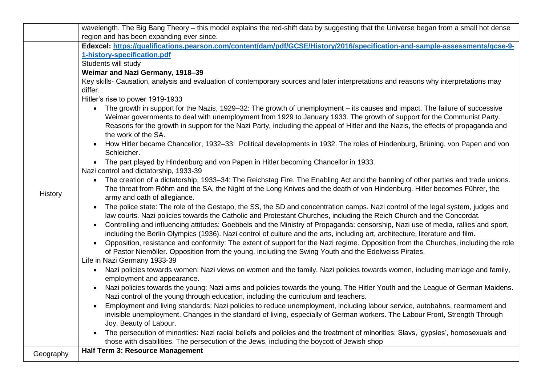|           | wavelength. The Big Bang Theory – this model explains the red-shift data by suggesting that the Universe began from a small hot dense                                                                                                                                                                                                                                                                             |
|-----------|-------------------------------------------------------------------------------------------------------------------------------------------------------------------------------------------------------------------------------------------------------------------------------------------------------------------------------------------------------------------------------------------------------------------|
|           | region and has been expanding ever since.                                                                                                                                                                                                                                                                                                                                                                         |
|           | Edexcel: https://qualifications.pearson.com/content/dam/pdf/GCSE/History/2016/specification-and-sample-assessments/gcse-9-                                                                                                                                                                                                                                                                                        |
|           | 1-history-specification.pdf                                                                                                                                                                                                                                                                                                                                                                                       |
|           | Students will study                                                                                                                                                                                                                                                                                                                                                                                               |
|           | Weimar and Nazi Germany, 1918-39                                                                                                                                                                                                                                                                                                                                                                                  |
|           | Key skills- Causation, analysis and evaluation of contemporary sources and later interpretations and reasons why interpretations may                                                                                                                                                                                                                                                                              |
|           | differ.                                                                                                                                                                                                                                                                                                                                                                                                           |
|           | Hitler's rise to power 1919-1933                                                                                                                                                                                                                                                                                                                                                                                  |
|           | The growth in support for the Nazis, 1929–32: The growth of unemployment – its causes and impact. The failure of successive<br>Weimar governments to deal with unemployment from 1929 to January 1933. The growth of support for the Communist Party.<br>Reasons for the growth in support for the Nazi Party, including the appeal of Hitler and the Nazis, the effects of propaganda and<br>the work of the SA. |
|           | How Hitler became Chancellor, 1932-33: Political developments in 1932. The roles of Hindenburg, Brüning, von Papen and von<br>Schleicher.                                                                                                                                                                                                                                                                         |
|           | • The part played by Hindenburg and von Papen in Hitler becoming Chancellor in 1933.<br>Nazi control and dictatorship, 1933-39                                                                                                                                                                                                                                                                                    |
| History   | The creation of a dictatorship, 1933–34: The Reichstag Fire. The Enabling Act and the banning of other parties and trade unions.<br>The threat from Röhm and the SA, the Night of the Long Knives and the death of von Hindenburg. Hitler becomes Führer, the<br>army and oath of allegiance.                                                                                                                     |
|           | The police state: The role of the Gestapo, the SS, the SD and concentration camps. Nazi control of the legal system, judges and<br>law courts. Nazi policies towards the Catholic and Protestant Churches, including the Reich Church and the Concordat.                                                                                                                                                          |
|           | Controlling and influencing attitudes: Goebbels and the Ministry of Propaganda: censorship, Nazi use of media, rallies and sport,<br>$\bullet$<br>including the Berlin Olympics (1936). Nazi control of culture and the arts, including art, architecture, literature and film.                                                                                                                                   |
|           | Opposition, resistance and conformity: The extent of support for the Nazi regime. Opposition from the Churches, including the role<br>$\bullet$<br>of Pastor Niemöller. Opposition from the young, including the Swing Youth and the Edelweiss Pirates.<br>Life in Nazi Germany 1933-39                                                                                                                           |
|           | Nazi policies towards women: Nazi views on women and the family. Nazi policies towards women, including marriage and family,                                                                                                                                                                                                                                                                                      |
|           | $\bullet$<br>employment and appearance.                                                                                                                                                                                                                                                                                                                                                                           |
|           | Nazi policies towards the young: Nazi aims and policies towards the young. The Hitler Youth and the League of German Maidens.<br>$\bullet$<br>Nazi control of the young through education, including the curriculum and teachers.                                                                                                                                                                                 |
|           | Employment and living standards: Nazi policies to reduce unemployment, including labour service, autobahns, rearmament and<br>$\bullet$<br>invisible unemployment. Changes in the standard of living, especially of German workers. The Labour Front, Strength Through<br>Joy, Beauty of Labour.                                                                                                                  |
|           | The persecution of minorities: Nazi racial beliefs and policies and the treatment of minorities: Slavs, 'gypsies', homosexuals and<br>$\bullet$                                                                                                                                                                                                                                                                   |
|           | those with disabilities. The persecution of the Jews, including the boycott of Jewish shop                                                                                                                                                                                                                                                                                                                        |
| Geography | <b>Half Term 3: Resource Management</b>                                                                                                                                                                                                                                                                                                                                                                           |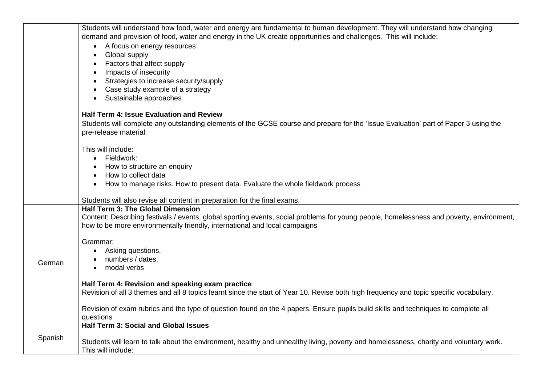|         | Students will understand how food, water and energy are fundamental to human development. They will understand how changing                                                                                            |
|---------|------------------------------------------------------------------------------------------------------------------------------------------------------------------------------------------------------------------------|
|         | demand and provision of food, water and energy in the UK create opportunities and challenges. This will include:                                                                                                       |
|         | A focus on energy resources:                                                                                                                                                                                           |
|         | Global supply                                                                                                                                                                                                          |
|         | Factors that affect supply                                                                                                                                                                                             |
|         | Impacts of insecurity                                                                                                                                                                                                  |
|         | Strategies to increase security/supply                                                                                                                                                                                 |
|         | Case study example of a strategy                                                                                                                                                                                       |
|         | Sustainable approaches                                                                                                                                                                                                 |
|         | <b>Half Term 4: Issue Evaluation and Review</b>                                                                                                                                                                        |
|         | Students will complete any outstanding elements of the GCSE course and prepare for the 'Issue Evaluation' part of Paper 3 using the                                                                                    |
|         | pre-release material.                                                                                                                                                                                                  |
|         | This will include:                                                                                                                                                                                                     |
|         | Fieldwork:                                                                                                                                                                                                             |
|         | How to structure an enquiry                                                                                                                                                                                            |
|         | How to collect data                                                                                                                                                                                                    |
|         | How to manage risks. How to present data. Evaluate the whole fieldwork process                                                                                                                                         |
|         | Students will also revise all content in preparation for the final exams.                                                                                                                                              |
|         | Half Term 3: The Global Dimension                                                                                                                                                                                      |
|         | Content: Describing festivals / events, global sporting events, social problems for young people, homelessness and poverty, environment,<br>how to be more environmentally friendly, international and local campaigns |
|         | Grammar:                                                                                                                                                                                                               |
|         | Asking questions,                                                                                                                                                                                                      |
|         | numbers / dates,                                                                                                                                                                                                       |
| German  | modal verbs                                                                                                                                                                                                            |
|         | Half Term 4: Revision and speaking exam practice                                                                                                                                                                       |
|         | Revision of all 3 themes and all 8 topics learnt since the start of Year 10. Revise both high frequency and topic specific vocabulary.                                                                                 |
|         | Revision of exam rubrics and the type of question found on the 4 papers. Ensure pupils build skills and techniques to complete all<br>questions                                                                        |
|         | Half Term 3: Social and Global Issues                                                                                                                                                                                  |
| Spanish | Students will learn to talk about the environment, healthy and unhealthy living, poverty and homelessness, charity and voluntary work.<br>This will include:                                                           |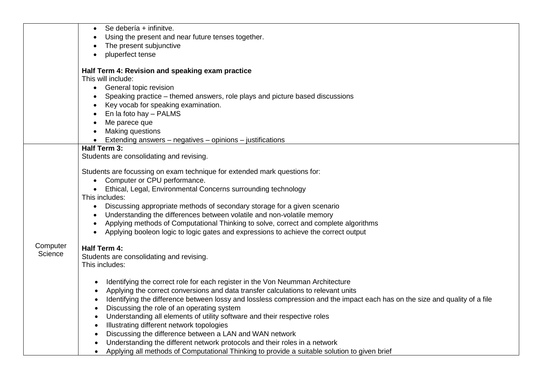|          | Se debería + infinitve.                                                                                                     |
|----------|-----------------------------------------------------------------------------------------------------------------------------|
|          | Using the present and near future tenses together.                                                                          |
|          | The present subjunctive                                                                                                     |
|          | pluperfect tense                                                                                                            |
|          |                                                                                                                             |
|          | Half Term 4: Revision and speaking exam practice                                                                            |
|          | This will include:                                                                                                          |
|          | General topic revision<br>$\bullet$                                                                                         |
|          | Speaking practice – themed answers, role plays and picture based discussions                                                |
|          | Key vocab for speaking examination.                                                                                         |
|          | En la foto hay - PALMS                                                                                                      |
|          | Me parece que                                                                                                               |
|          | <b>Making questions</b>                                                                                                     |
|          | Extending answers – negatives – opinions – justifications                                                                   |
|          | Half Term 3:                                                                                                                |
|          | Students are consolidating and revising.                                                                                    |
|          |                                                                                                                             |
|          | Students are focussing on exam technique for extended mark questions for:                                                   |
|          | Computer or CPU performance.                                                                                                |
|          | Ethical, Legal, Environmental Concerns surrounding technology                                                               |
|          | This includes:                                                                                                              |
|          | Discussing appropriate methods of secondary storage for a given scenario                                                    |
|          | Understanding the differences between volatile and non-volatile memory                                                      |
|          | Applying methods of Computational Thinking to solve, correct and complete algorithms                                        |
|          | Applying booleon logic to logic gates and expressions to achieve the correct output                                         |
| Computer |                                                                                                                             |
| Science  | Half Term 4:                                                                                                                |
|          | Students are consolidating and revising.                                                                                    |
|          | This includes:                                                                                                              |
|          |                                                                                                                             |
|          | Identifying the correct role for each register in the Von Neumman Architecture<br>٠                                         |
|          | Applying the correct conversions and data transfer calculations to relevant units<br>$\bullet$                              |
|          | Identifying the difference between lossy and lossless compression and the impact each has on the size and quality of a file |
|          | Discussing the role of an operating system<br>$\bullet$                                                                     |
|          | Understanding all elements of utility software and their respective roles                                                   |
|          | Illustrating different network topologies                                                                                   |
|          | Discussing the difference between a LAN and WAN network<br>$\bullet$                                                        |
|          | Understanding the different network protocols and their roles in a network                                                  |
|          | Applying all methods of Computational Thinking to provide a suitable solution to given brief<br>$\bullet$                   |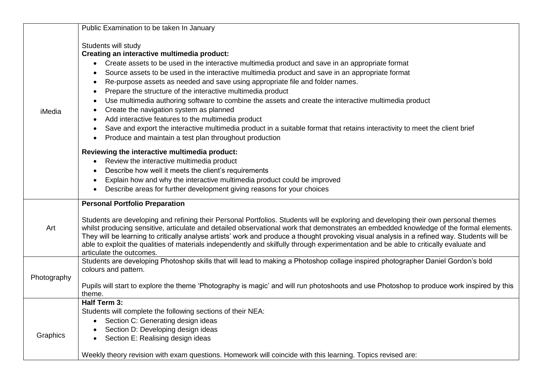|             | Public Examination to be taken In January                                                                                                                                                                                                                                                                                                                                                                                                                                                                                                                                                                                                                                                                                                                                                                                               |
|-------------|-----------------------------------------------------------------------------------------------------------------------------------------------------------------------------------------------------------------------------------------------------------------------------------------------------------------------------------------------------------------------------------------------------------------------------------------------------------------------------------------------------------------------------------------------------------------------------------------------------------------------------------------------------------------------------------------------------------------------------------------------------------------------------------------------------------------------------------------|
| iMedia      | Students will study<br>Creating an interactive multimedia product:<br>Create assets to be used in the interactive multimedia product and save in an appropriate format<br>Source assets to be used in the interactive multimedia product and save in an appropriate format<br>Re-purpose assets as needed and save using appropriate file and folder names.<br>Prepare the structure of the interactive multimedia product<br>٠<br>Use multimedia authoring software to combine the assets and create the interactive multimedia product<br>٠<br>Create the navigation system as planned<br>Add interactive features to the multimedia product<br>Save and export the interactive multimedia product in a suitable format that retains interactivity to meet the client brief<br>Produce and maintain a test plan throughout production |
|             | Reviewing the interactive multimedia product:<br>Review the interactive multimedia product<br>Describe how well it meets the client's requirements<br>Explain how and why the interactive multimedia product could be improved<br>Describe areas for further development giving reasons for your choices                                                                                                                                                                                                                                                                                                                                                                                                                                                                                                                                |
| Art         | <b>Personal Portfolio Preparation</b><br>Students are developing and refining their Personal Portfolios. Students will be exploring and developing their own personal themes<br>whilst producing sensitive, articulate and detailed observational work that demonstrates an embedded knowledge of the formal elements.<br>They will be learning to critically analyse artists' work and produce a thought provoking visual analysis in a refined way. Students will be<br>able to exploit the qualities of materials independently and skilfully through experimentation and be able to critically evaluate and<br>articulate the outcomes.                                                                                                                                                                                             |
| Photography | Students are developing Photoshop skills that will lead to making a Photoshop collage inspired photographer Daniel Gordon's bold<br>colours and pattern.<br>Pupils will start to explore the theme 'Photography is magic' and will run photoshoots and use Photoshop to produce work inspired by this<br>theme.                                                                                                                                                                                                                                                                                                                                                                                                                                                                                                                         |
| Graphics    | Half Term 3:<br>Students will complete the following sections of their NEA:<br>Section C: Generating design ideas<br>Section D: Developing design ideas<br>Section E: Realising design ideas<br>Weekly theory revision with exam questions. Homework will coincide with this learning. Topics revised are:                                                                                                                                                                                                                                                                                                                                                                                                                                                                                                                              |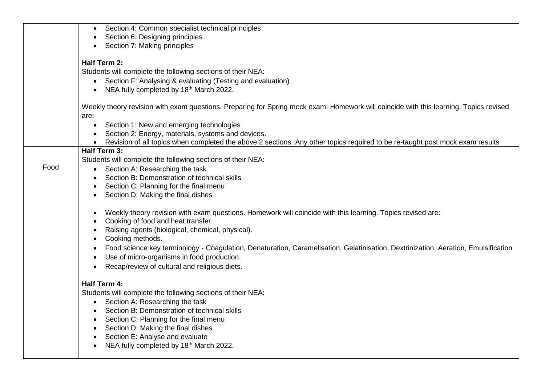|      | Section 4: Common specialist technical principles                                                                                     |
|------|---------------------------------------------------------------------------------------------------------------------------------------|
|      | Section 6: Designing principles                                                                                                       |
|      | Section 7: Making principles                                                                                                          |
|      | <b>Half Term 2:</b>                                                                                                                   |
|      | Students will complete the following sections of their NEA:                                                                           |
|      | Section F: Analysing & evaluating (Testing and evaluation)<br>$\bullet$                                                               |
|      | NEA fully completed by 18th March 2022.<br>$\bullet$                                                                                  |
|      |                                                                                                                                       |
|      | Weekly theory revision with exam questions. Preparing for Spring mock exam. Homework will coincide with this learning. Topics revised |
|      | are:                                                                                                                                  |
|      | Section 1: New and emerging technologies<br>$\bullet$                                                                                 |
|      | Section 2: Energy, materials, systems and devices.                                                                                    |
|      | Revision of all topics when completed the above 2 sections. Any other topics required to be re-taught post mock exam results          |
|      | Half Term 3:                                                                                                                          |
|      | Students will complete the following sections of their NEA:                                                                           |
| Food | Section A: Researching the task                                                                                                       |
|      | Section B: Demonstration of technical skills                                                                                          |
|      | Section C: Planning for the final menu                                                                                                |
|      | Section D: Making the final dishes                                                                                                    |
|      | Weekly theory revision with exam questions. Homework will coincide with this learning. Topics revised are:                            |
|      | Cooking of food and heat transfer                                                                                                     |
|      | Raising agents (biological, chemical, physical).                                                                                      |
|      | Cooking methods.                                                                                                                      |
|      | Food science key terminology - Coagulation, Denaturation, Caramelisation, Gelatinisation, Dextrinization, Aeration, Emulsification    |
|      | Use of micro-organisms in food production.                                                                                            |
|      | Recap/review of cultural and religious diets.                                                                                         |
|      | Half Term 4:                                                                                                                          |
|      | Students will complete the following sections of their NEA:                                                                           |
|      | Section A: Researching the task                                                                                                       |
|      | Section B: Demonstration of technical skills                                                                                          |
|      | Section C: Planning for the final menu                                                                                                |
|      | Section D: Making the final dishes                                                                                                    |
|      | Section E: Analyse and evaluate                                                                                                       |
|      | NEA fully completed by 18th March 2022.                                                                                               |
|      |                                                                                                                                       |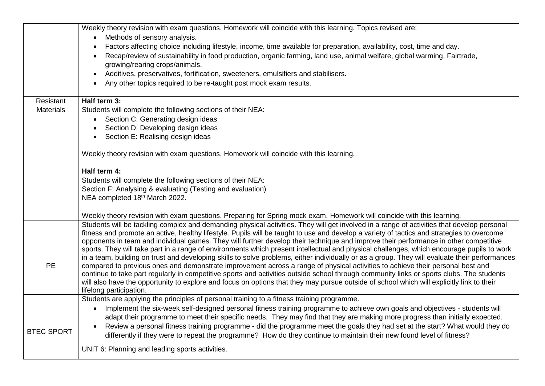|                   | Weekly theory revision with exam questions. Homework will coincide with this learning. Topics revised are:                                                           |
|-------------------|----------------------------------------------------------------------------------------------------------------------------------------------------------------------|
|                   | Methods of sensory analysis.                                                                                                                                         |
|                   | Factors affecting choice including lifestyle, income, time available for preparation, availability, cost, time and day.                                              |
|                   | Recap/review of sustainability in food production, organic farming, land use, animal welfare, global warming, Fairtrade,                                             |
|                   | growing/rearing crops/animals.                                                                                                                                       |
|                   | Additives, preservatives, fortification, sweeteners, emulsifiers and stabilisers.<br>$\bullet$                                                                       |
|                   | Any other topics required to be re-taught post mock exam results.                                                                                                    |
|                   |                                                                                                                                                                      |
| Resistant         | Half term 3:                                                                                                                                                         |
| <b>Materials</b>  | Students will complete the following sections of their NEA:                                                                                                          |
|                   | Section C: Generating design ideas                                                                                                                                   |
|                   | Section D: Developing design ideas                                                                                                                                   |
|                   | Section E: Realising design ideas                                                                                                                                    |
|                   |                                                                                                                                                                      |
|                   | Weekly theory revision with exam questions. Homework will coincide with this learning.                                                                               |
|                   |                                                                                                                                                                      |
|                   | Half term 4:                                                                                                                                                         |
|                   | Students will complete the following sections of their NEA:                                                                                                          |
|                   | Section F: Analysing & evaluating (Testing and evaluation)                                                                                                           |
|                   | NEA completed 18th March 2022.                                                                                                                                       |
|                   | Weekly theory revision with exam questions. Preparing for Spring mock exam. Homework will coincide with this learning.                                               |
|                   | Students will be tackling complex and demanding physical activities. They will get involved in a range of activities that develop personal                           |
|                   | fitness and promote an active, healthy lifestyle. Pupils will be taught to use and develop a variety of tactics and strategies to overcome                           |
|                   | opponents in team and individual games. They will further develop their technique and improve their performance in other competitive                                 |
|                   | sports. They will take part in a range of environments which present intellectual and physical challenges, which encourage pupils to work                            |
|                   | in a team, building on trust and developing skills to solve problems, either individually or as a group. They will evaluate their performances                       |
| <b>PE</b>         | compared to previous ones and demonstrate improvement across a range of physical activities to achieve their personal best and                                       |
|                   | continue to take part regularly in competitive sports and activities outside school through community links or sports clubs. The students                            |
|                   | will also have the opportunity to explore and focus on options that they may pursue outside of school which will explicitly link to their<br>lifelong participation. |
|                   | Students are applying the principles of personal training to a fitness training programme.                                                                           |
|                   | Implement the six-week self-designed personal fitness training programme to achieve own goals and objectives - students will                                         |
|                   | adapt their programme to meet their specific needs. They may find that they are making more progress than initially expected.                                        |
|                   | Review a personal fitness training programme - did the programme meet the goals they had set at the start? What would they do                                        |
| <b>BTEC SPORT</b> | differently if they were to repeat the programme? How do they continue to maintain their new found level of fitness?                                                 |
|                   |                                                                                                                                                                      |
|                   | UNIT 6: Planning and leading sports activities.                                                                                                                      |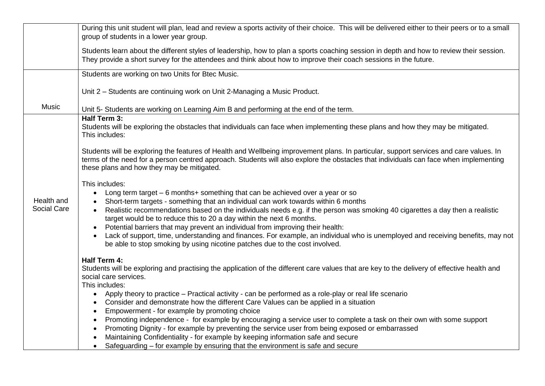|                    | During this unit student will plan, lead and review a sports activity of their choice. This will be delivered either to their peers or to a small<br>group of students in a lower year group.                                                                                                                                 |
|--------------------|-------------------------------------------------------------------------------------------------------------------------------------------------------------------------------------------------------------------------------------------------------------------------------------------------------------------------------|
|                    | Students learn about the different styles of leadership, how to plan a sports coaching session in depth and how to review their session.<br>They provide a short survey for the attendees and think about how to improve their coach sessions in the future.                                                                  |
|                    | Students are working on two Units for Btec Music.                                                                                                                                                                                                                                                                             |
|                    | Unit 2 - Students are continuing work on Unit 2-Managing a Music Product.                                                                                                                                                                                                                                                     |
| <b>Music</b>       | Unit 5- Students are working on Learning Aim B and performing at the end of the term.                                                                                                                                                                                                                                         |
|                    | Half Term 3:<br>Students will be exploring the obstacles that individuals can face when implementing these plans and how they may be mitigated.<br>This includes:                                                                                                                                                             |
|                    | Students will be exploring the features of Health and Wellbeing improvement plans. In particular, support services and care values. In<br>terms of the need for a person centred approach. Students will also explore the obstacles that individuals can face when implementing<br>these plans and how they may be mitigated. |
|                    | This includes:                                                                                                                                                                                                                                                                                                                |
| Health and         | Long term target – 6 months+ something that can be achieved over a year or so<br>$\bullet$<br>Short-term targets - something that an individual can work towards within 6 months<br>$\bullet$                                                                                                                                 |
| <b>Social Care</b> | Realistic recommendations based on the individuals needs e.g. if the person was smoking 40 cigarettes a day then a realistic<br>$\bullet$<br>target would be to reduce this to 20 a day within the next 6 months.                                                                                                             |
|                    | Potential barriers that may prevent an individual from improving their health:<br>$\bullet$                                                                                                                                                                                                                                   |
|                    | Lack of support, time, understanding and finances. For example, an individual who is unemployed and receiving benefits, may not<br>$\bullet$<br>be able to stop smoking by using nicotine patches due to the cost involved.                                                                                                   |
|                    | Half Term 4:                                                                                                                                                                                                                                                                                                                  |
|                    | Students will be exploring and practising the application of the different care values that are key to the delivery of effective health and<br>social care services.                                                                                                                                                          |
|                    | This includes:                                                                                                                                                                                                                                                                                                                |
|                    | Apply theory to practice – Practical activity - can be performed as a role-play or real life scenario<br>$\bullet$                                                                                                                                                                                                            |
|                    | Consider and demonstrate how the different Care Values can be applied in a situation<br>$\bullet$                                                                                                                                                                                                                             |
|                    | Empowerment - for example by promoting choice<br>$\bullet$                                                                                                                                                                                                                                                                    |
|                    | Promoting independence - for example by encouraging a service user to complete a task on their own with some support<br>$\bullet$<br>Promoting Dignity - for example by preventing the service user from being exposed or embarrassed<br>$\bullet$                                                                            |
|                    | Maintaining Confidentiality - for example by keeping information safe and secure                                                                                                                                                                                                                                              |
|                    | Safeguarding – for example by ensuring that the environment is safe and secure<br>$\bullet$                                                                                                                                                                                                                                   |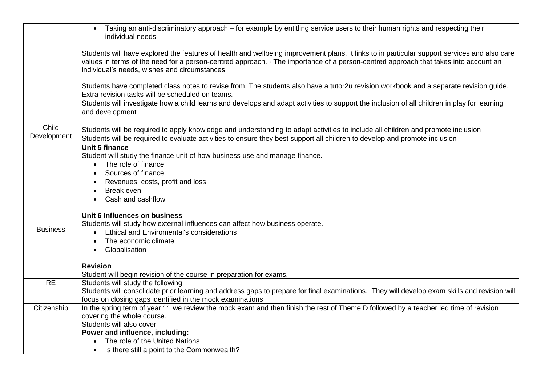|                      | Taking an anti-discriminatory approach – for example by entitling service users to their human rights and respecting their<br>individual needs                                                                                                                                                                                       |
|----------------------|--------------------------------------------------------------------------------------------------------------------------------------------------------------------------------------------------------------------------------------------------------------------------------------------------------------------------------------|
|                      | Students will have explored the features of health and wellbeing improvement plans. It links to in particular support services and also care<br>values in terms of the need for a person-centred approach. · The importance of a person-centred approach that takes into account an<br>individual's needs, wishes and circumstances. |
|                      | Students have completed class notes to revise from. The students also have a tutor2u revision workbook and a separate revision guide.<br>Extra revision tasks will be scheduled on teams.                                                                                                                                            |
|                      | Students will investigate how a child learns and develops and adapt activities to support the inclusion of all children in play for learning<br>and development                                                                                                                                                                      |
| Child<br>Development | Students will be required to apply knowledge and understanding to adapt activities to include all children and promote inclusion<br>Students will be required to evaluate activities to ensure they best support all children to develop and promote inclusion                                                                       |
|                      | <b>Unit 5 finance</b><br>Student will study the finance unit of how business use and manage finance.<br>The role of finance<br>Sources of finance                                                                                                                                                                                    |
|                      | Revenues, costs, profit and loss<br>Break even                                                                                                                                                                                                                                                                                       |
|                      | Cash and cashflow<br>$\bullet$                                                                                                                                                                                                                                                                                                       |
|                      | Unit 6 Influences on business<br>Students will study how external influences can affect how business operate.                                                                                                                                                                                                                        |
| <b>Business</b>      | <b>Ethical and Enviromental's considerations</b>                                                                                                                                                                                                                                                                                     |
|                      | The economic climate                                                                                                                                                                                                                                                                                                                 |
|                      | Globalisation                                                                                                                                                                                                                                                                                                                        |
|                      | <b>Revision</b>                                                                                                                                                                                                                                                                                                                      |
|                      | Student will begin revision of the course in preparation for exams.                                                                                                                                                                                                                                                                  |
| <b>RE</b>            | Students will study the following                                                                                                                                                                                                                                                                                                    |
|                      | Students will consolidate prior learning and address gaps to prepare for final examinations. They will develop exam skills and revision will<br>focus on closing gaps identified in the mock examinations                                                                                                                            |
| Citizenship          | In the spring term of year 11 we review the mock exam and then finish the rest of Theme D followed by a teacher led time of revision                                                                                                                                                                                                 |
|                      | covering the whole course.                                                                                                                                                                                                                                                                                                           |
|                      | Students will also cover                                                                                                                                                                                                                                                                                                             |
|                      | Power and influence, including:                                                                                                                                                                                                                                                                                                      |
|                      | The role of the United Nations<br>Is there still a point to the Commonwealth?                                                                                                                                                                                                                                                        |
|                      |                                                                                                                                                                                                                                                                                                                                      |